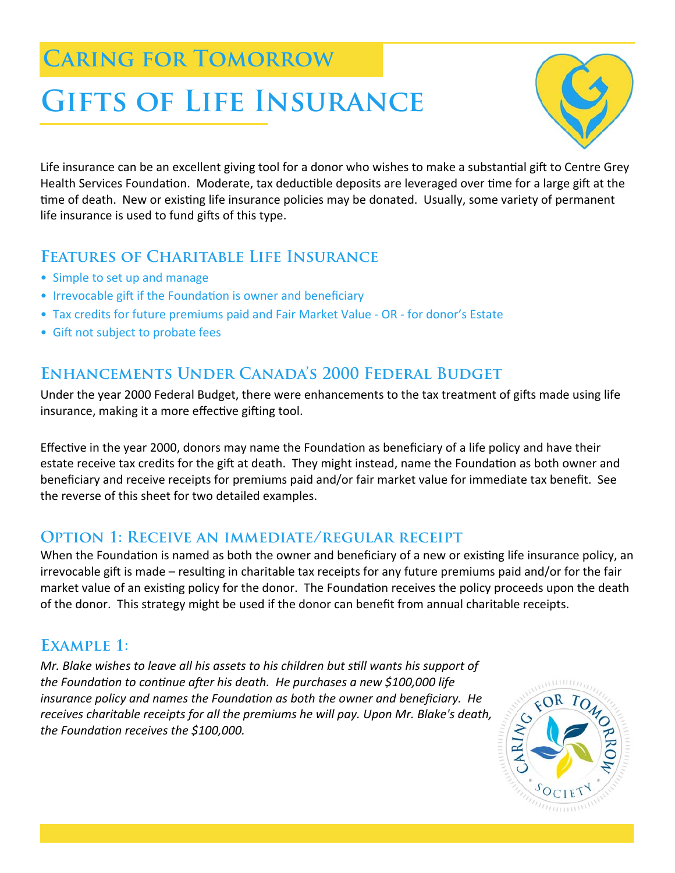# **Caring for Tomorrow**

# **Gifts of Life Insurance**



Life insurance can be an excellent giving tool for a donor who wishes to make a substantial gift to Centre Grey Health Services Foundation. Moderate, tax deductible deposits are leveraged over time for a large gift at the time of death. New or existing life insurance policies may be donated. Usually, some variety of permanent life insurance is used to fund gifts of this type.

## **Features of Charitable Life Insurance**

- Simple to set up and manage
- Irrevocable gift if the Foundation is owner and beneficiary
- Tax credits for future premiums paid and Fair Market Value ‐ OR ‐ for donor's Estate
- Gift not subject to probate fees

# **Enhancements Under Canada's 2000 Federal Budget**

Under the year 2000 Federal Budget, there were enhancements to the tax treatment of gifts made using life insurance, making it a more effective gifting tool.

Effective in the year 2000, donors may name the Foundation as beneficiary of a life policy and have their estate receive tax credits for the gift at death. They might instead, name the Foundation as both owner and beneficiary and receive receipts for premiums paid and/or fair market value for immediate tax benefit. See the reverse of this sheet for two detailed examples.

## **Option 1: Receive an immediate/regular receipt**

When the Foundation is named as both the owner and beneficiary of a new or existing life insurance policy, an irrevocable gift is made – resulting in charitable tax receipts for any future premiums paid and/or for the fair market value of an existing policy for the donor. The Foundation receives the policy proceeds upon the death of the donor. This strategy might be used if the donor can benefit from annual charitable receipts.

# **Example 1:**

*Mr. Blake wishes to leave all his assets to his children but sƟll wants his support of the FoundaƟon to conƟnue aŌer his death. He purchases a new \$100,000 life insurance policy and names the FoundaƟon as both the owner and beneficiary. He receives charitable receipts for all the premiums he will pay. Upon Mr. Blake's death, the FoundaƟon receives the \$100,000.*